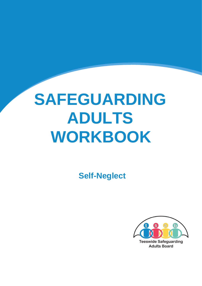## **SAFEGUARDING ADULTS WORKBOOK**

 **Self-Neglect** 

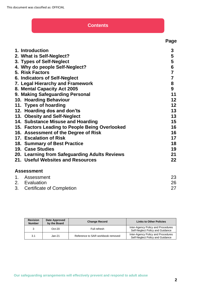#### **Contents**

| 1. Introduction                                | 3                       |
|------------------------------------------------|-------------------------|
| 2. What is Self-Neglect?                       | 5                       |
| 3. Types of Self-Neglect                       | 5                       |
| 4. Why do people Self-Neglect?                 | 6                       |
| 5. Risk Factors                                | $\overline{7}$          |
| 6. Indicators of Self-Neglect                  | $\overline{\mathbf{7}}$ |
| 7. Legal Hierarchy and Framework               | 8                       |
| 8. Mental Capacity Act 2005                    | 9                       |
| 9. Making Safeguarding Personal                | 11                      |
| 10. Hoarding Behaviour                         | 12                      |
| 11. Types of hoarding                          | 12                      |
| 12. Hoarding dos and don'ts                    | 13                      |
| 13. Obesity and Self-Neglect                   | 13                      |
| 14. Substance Misuse and Hoarding              | 15                      |
| 15. Factors Leading to People Being Overlooked | 16                      |
| 16. Assessment of the Degree of Risk           | 16                      |
| 17. Escalation of Risk                         | 17                      |
| <b>18. Summary of Best Practice</b>            | 18                      |
| 19. Case Studies                               | 19                      |
| 20. Learning from Safeguarding Adults Reviews  | 21                      |
| 21. Useful Websites and Resources              | 22                      |
| <b>Assessment</b>                              |                         |

| 1. Assessment                |    |
|------------------------------|----|
| 2. Evaluation                | 26 |
| 3. Certificate of Completion |    |

| <b>Revision</b><br><b>Number</b> | Date Approved<br>by the Board | <b>Change Record</b>              | <b>Links to Other Policies</b>                                         |
|----------------------------------|-------------------------------|-----------------------------------|------------------------------------------------------------------------|
| 3                                | $Oct-20$                      | Full refresh                      | Inter-Agency Policy and Procedures<br>Self-Neglect Policy and Guidance |
| 3.1                              | Jan-21                        | Reference to SAR workbook removed | Inter-Agency Policy and Procedures<br>Self-Neglect Policy and Guidance |

 **Page**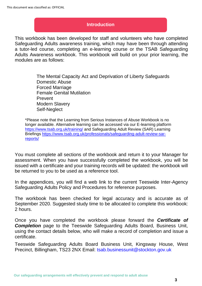#### **Introduction**

This workbook has been developed for staff and volunteers who have completed Safeguarding Adults awareness training, which may have been through attending a tutor-led course, completing an e-learning course or the TSAB Safeguarding Adults Awareness workbook. This workbook will build on your prior learning, the modules are as follows:

> The Mental Capacity Act and Deprivation of Liberty Safeguards Domestic Abuse Forced Marriage Female Genital Mutilation Prevent Modern Slavery Self-Neglect

\*Please note that the Learning from Serious Instances of Abuse Workbook is no longer available. Alternative learning can be accessed via our E-learning platform <https://www.tsab.org.uk/training/> and Safeguarding Adult Review (SAR) Learning Briefings [https://www.tsab.org.uk/professionals/safeguarding-adult-review-sar](https://www.tsab.org.uk/professionals/safeguarding-adult-review-sar-reports/)[reports/](https://www.tsab.org.uk/professionals/safeguarding-adult-review-sar-reports/)

You must complete all sections of the workbook and return it to your Manager for assessment. When you have successfully completed the workbook, you will be issued with a certificate and your training records will be updated: the workbook will be returned to you to be used as a reference tool.

In the appendices, you will find a web link to the current Teeswide Inter-Agency Safeguarding Adults Policy and Procedures for reference purposes.

The workbook has been checked for legal accuracy and is accurate as of September 2020. Suggested study time to be allocated to complete this workbook: 2 hours.

Once you have completed the workbook please forward the *Certificate of*  **Completion** page to the Teeswide Safeguarding Adults Board, Business Unit, using the contact details below, who will make a record of completion and issue a certificate.

Teeswide Safeguarding Adults Board Business Unit, Kingsway House, West Precinct, Billingham, TS23 2NX Email: tsab.businessunit@stockton.gov.uk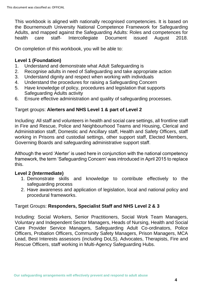This workbook is aligned with nationally recognised competencies. It is based on the Bournemouth University National Competence Framework for Safeguarding Adults, and mapped against the Safeguarding Adults: Roles and competences for health care staff- Intercollegiate Document issued August 2018.

On completion of this workbook, you will be able to:

#### **Level 1 (Foundation)**

- 1. Understand and demonstrate what Adult Safeguarding is
- 2. Recognise adults in need of Safeguarding and take appropriate action
- 3. Understand dignity and respect when working with individuals
- 4. Understand the procedures for raising a Safeguarding Concern
- 5. Have knowledge of policy, procedures and legislation that supports Safeguarding Adults activity
- 6. Ensure effective administration and quality of safeguarding processes.

#### Target groups: **Alerters and NHS Level 1 & part of Level 2**

Including: All staff and volunteers in health and social care settings, all frontline staff in Fire and Rescue, Police and Neighbourhood Teams and Housing, Clerical and Administration staff, Domestic and Ancillary staff, Health and Safety Officers, staff working in Prisons and custodial settings, other support staff, Elected Members, Governing Boards and safeguarding administrative support staff.

Although the word 'Alerter' is used here in conjunction with the national competency framework, the term 'Safeguarding Concern' was introduced in April 2015 to replace this.

#### **Level 2 (Intermediate)**

- 1. Demonstrate skills and knowledge to contribute effectively to the safeguarding process
- 2. Have awareness and application of legislation, local and national policy and procedural frameworks.

#### Target Groups: **Responders, Specialist Staff and NHS Level 2 & 3**

Including: Social Workers, Senior Practitioners, Social Work Team Managers, Voluntary and Independent Sector Managers, Heads of Nursing, Health and Social Care Provider Service Managers, Safeguarding Adult Co-ordinators, Police Officers, Probation Officers, Community Safety Managers, Prison Managers, MCA Lead, Best Interests assessors (including DoLS), Advocates, Therapists, Fire and Rescue Officers, staff working in Multi-Agency Safeguarding Hubs.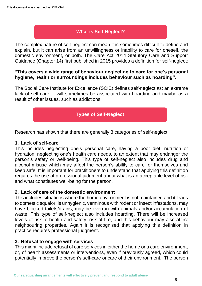#### **What is Self-Neglect?**

The complex nature of self-neglect can mean it is sometimes difficult to define and explain, but it can arise from an unwillingness or inability to care for oneself, the domestic environment, or both. The Care Act 2014 Statutory Care and Support Guidance (Chapter 14) first published in 2015 provides a definition for self-neglect:

#### **"This covers a wide range of behaviour neglecting to care for one's personal hygiene, health or surroundings includes behaviour such as hoarding".**

The Social Care Institute for Excellence (SCIE) defines self-neglect as: an extreme lack of self-care, it will sometimes be associated with hoarding and maybe as a result of other issues, such as addictions.

### **Types of Self-Neglect**

Research has shown that there are generally 3 categories of self-neglect:

#### **1. Lack of self-care**

This includes neglecting one's personal care, having a poor diet, nutrition or hydration, neglecting one's health care needs, to an extent that may endanger the person's safety or well-being. This type of self-neglect also includes drug and alcohol misuse which may affect the person's ability to care for themselves and keep safe. It is important for practitioners to understand that applying this definition requires the use of professional judgment about what is an acceptable level of risk and what constitutes well-being for the person.

#### **2. Lack of care of the domestic environment**

This includes situations where the home environment is not maintained and it leads to domestic squalor, is unhygienic, verminous with rodent or insect infestations, may have blocked toilets/drains, may be overrun with animals and/or accumulation of waste. This type of self-neglect also includes hoarding. There will be increased levels of risk to health and safety, risk of fire, and this behaviour may also affect neighbouring properties. Again it is recognised that applying this definition in practice requires professional judgment.

#### **3. Refusal to engage with services**

This might include refusal of care services in either the home or a care environment, or, of health assessments or interventions, even if previously agreed, which could potentially improve the person's self-care or care of their environment. The person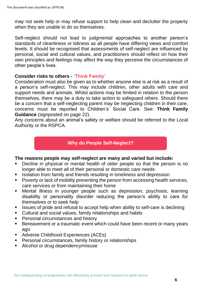may not seek help or may refuse support to help clean and declutter the property when they are unable to do so themselves.

Self-neglect should not lead to judgmental approaches to another person's standards of cleanliness or tidiness as all people have differing views and comfort levels. It should be recognised that assessments of self-neglect are influenced by personal, social and cultural values, and practitioners should reflect on how their own principles and feelings may affect the way they perceive the circumstances of other people's lives.

#### **Consider risks to others - 'Think Family'**

Consideration must also be given as to whether anyone else is at risk as a result of a person's self-neglect. This may include children, other adults with care and support needs and animals. Whilst actions may be limited in relation to the person themselves, there may be a duty to take action to safeguard others. Should there be a concern that a self-neglecting parent may be neglecting children in their care, concerns must be reported to Children's' Social Care. See: **Think Family Guidance** (signposted on page 22).

Any concerns about an animal's safety or welfare should be referred to the Local Authority or the RSPCA.

#### **Why do People Self-Neglect?**

#### **The reasons people may self-neglect are many and varied but include:**

- Decline in physical or mental health of older people so that the person is no longer able to meet all of their personal or domestic care needs
- **EXEDENT ISOLATION FROM FAMILY AND FROM FROM THE ISOLATION ISOLATION** ISOLATION ISOLATION ISOLATION ISOLATION ISOLATION ISOLATION ISOLATION ISOLATION ISOLATION ISOLATION ISOLATION ISOLATION ISOLATION ISOLATION ISOLATION IS
- Poverty or lack of mobility preventing the person from accessing health services, care services or from maintaining their home
- **■** Mental illness in younger people such as depression, psychosis, learning disability or personality disorder reducing the person's ability to care for themselves or to seek help
- **EXEDENT ISSUES of pride and refusal to accept help when ability to self-care is declining**
- Cultural and social values, family relationships and habits
- **•** Personal circumstances and history
- **E** Bereavement or a traumatic event which could have been recent or many years ago
- Adverse Childhood Experiences (ACEs)
- Personal circumstances, family history or relationships
- Alcohol or drug dependency/misuse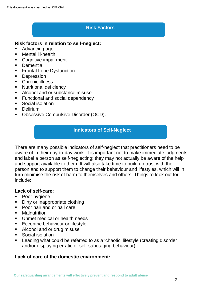#### **Risk Factors**

#### **Risk factors in relation to self-neglect:**

- Advancing age
- Mental ill-health
- Cognitive impairment
- Dementia
- **•** Frontal Lobe Dysfunction
- Depression
- Chronic illness
- Nutritional deficiency
- Alcohol and or substance misuse
- Functional and social dependency
- Social isolation
- Delirium
- Obsessive Compulsive Disorder (OCD).

#### **Indicators of Self-Neglect**

There are many possible indicators of self-neglect that practitioners need to be aware of in their day-to-day work. It is important not to make immediate judgments and label a person as self-neglecting; they may not actually be aware of the help and support available to them. It will also take time to build up trust with the person and to support them to change their behaviour and lifestyles, which will in turn minimise the risk of harm to themselves and others. Things to look out for include:

#### **Lack of self-care:**

- Poor hygiene
- Dirty or inappropriate clothing
- Poor hair and or nail care
- Malnutrition
- Unmet medical or health needs
- Eccentric behaviour or lifestyle
- Alcohol and or drug misuse
- Social isolation
- Leading what could be referred to as a 'chaotic' lifestyle (creating disorder and/or displaying erratic or self-sabotaging behaviour).

#### **Lack of care of the domestic environment:**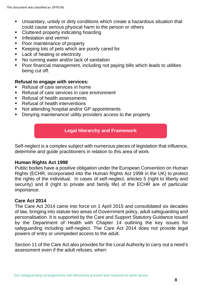- Unsanitary, untidy or dirty conditions which create a hazardous situation that could cause serious physical harm to the person or others
- **Cluttered property indicating hoarding**
- **■** Infestation and vermin
- Poor maintenance of property
- Keeping lots of pets which are poorly cared for
- Lack of heating or electricity
- No running water and/or lack of sanitation
- Poor financial management, including not paying bills which leads to utilities being cut off.

#### **Refusal to engage with services:**

- Refusal of care services in home
- Refusal of care services in care environment
- Refusal of health assessments
- Refusal of health interventions
- Not attending hospital and/or GP appointments
- Denying maintenance/ utility providers access to the property

#### **Legal Hierarchy and Framework**

Self-neglect is a complex subject with numerous pieces of legislation that influence, determine and guide practitioners in relation to this area of work.

#### **Human Rights Act 1998**

Public bodies have a positive obligation under the European Convention on Human Rights (ECHR, incorporated into the Human Rights Act 1998 in the UK) to protect the rights of the individual. In cases of self-neglect, articles 5 (right to liberty and security) and 8 (right to private and family life) of the ECHR are of particular importance.

#### **Care Act 2014**

The Care Act 2014 came into force on 1 April 2015 and consolidated six decades of law, bringing into statute two areas of Government policy, adult safeguarding and personalisation. It is supported by the Care and Support Statutory Guidance issued by the Department of Health with Chapter 14 outlining the key issues for safeguarding including self-neglect. The Care Act 2014 does not provide legal powers of entry or unimpeded access to the adult.

Section 11 of the Care Act also provides for the Local Authority to carry out a need's assessment even if the adult refuses, when: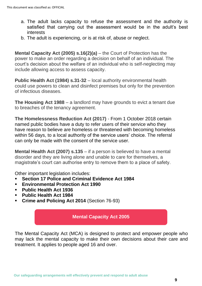- a. The adult lacks capacity to refuse the assessment and the authority is satisfied that carrying out the assessment would be in the adult's best interests
- b. The adult is experiencing, or is at risk of, abuse or neglect.

**Mental Capacity Act (2005) s.16(2)(a)** – the Court of Protection has the power to make an order regarding a decision on behalf of an individual. The court's decision about the welfare of an individual who is self-neglecting may include allowing access to assess capacity.

**Public Health Act (1984) s.31-32** – local authority environmental health could use powers to clean and disinfect premises but only for the prevention of infectious diseases.

**The Housing Act 1988** – a landlord may have grounds to evict a tenant due to breaches of the tenancy agreement.

**The Homelessness Reduction Act (2017)** - From 1 October 2018 certain named public bodies have a duty to refer users of their service who they have reason to believe are homeless or threatened with becoming homeless within 56 days, to a local authority of the service users' choice. The referral can only be made with the consent of the service user.

**Mental Health Act (2007) s.135** – if a person is believed to have a mental disorder and they are living alone and unable to care for themselves, a magistrate's court can authorise entry to remove them to a place of safety.

Other important legislation includes:

- **Section 17 Police and Criminal Evidence Act 1984**
- **Environmental Protection Act 1990**
- **Public Health Act 1936**
- **Public Health Act 1984**
- **Crime and Policing Act 2014** (Section 76-93)

#### **Mental Capacity Act 2005**

The Mental Capacity Act (MCA) is designed to protect and empower people who may lack the mental capacity to make their own decisions about their care and treatment. It applies to people aged 16 and over.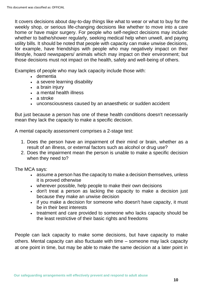It covers decisions about day-to-day things like what to wear or what to buy for the weekly shop, or serious life-changing decisions like whether to move into a care home or have major surgery. For people who self-neglect decisions may include: whether to bathe/shower regularly, seeking medical help when unwell, and paying utility bills. It should be noted that people with capacity can make unwise decisions, for example, have friendships with people who may negatively impact on their lifestyle, hoard newspapers/ animals which may impact on their environment; but those decisions must not impact on the health, safety and well-being of others.

Examples of people who may lack capacity include those with:

- dementia
- a severe learning disability
- a brain injury
- a mental health illness
- a stroke
- unconsciousness caused by an anaesthetic or sudden accident

But just because a person has one of these health conditions doesn't necessarily mean they lack the capacity to make a specific decision.

A mental capacity assessment comprises a 2-stage test:

- 1. Does the person have an impairment of their mind or brain, whether as a result of an illness, or external factors such as alcohol or drug use?
- 2. Does the impairment mean the person is unable to make a specific decision when they need to?

The MCA says:

- assume a person has the capacity to make a decision themselves, unless it is proved otherwise
- wherever possible, help people to make their own decisions
- don't treat a person as lacking the capacity to make a decision just because they make an unwise decision
- if you make a decision for someone who doesn't have capacity, it must be in their best interests
- treatment and care provided to someone who lacks capacity should be the least restrictive of their basic rights and freedoms

People can lack capacity to make some decisions, but have capacity to make others. Mental capacity can also fluctuate with time – someone may lack capacity at one point in time, but may be able to make the same decision at a later point in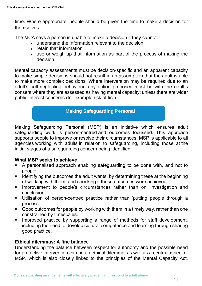time. Where appropriate, people should be given the time to make a decision for themselves.

The MCA says a person is unable to make a decision if they cannot:

- understand the information relevant to the decision
- retain that information
- use or weigh up that information as part of the process of making the decision

Mental capacity assessments must be decision-specific and an apparent capacity to make simple decisions should not result in an assumption that the adult is able to make more complex decisions. Where intervention may be required due to an adult's self-neglecting behaviour, any action proposed must be with the adult's consent where they are assessed as having mental capacity; unless there are wider public interest concerns (for example risk of fire).

#### **Making Safeguarding Personal**

Making Safeguarding Personal (MSP) is an initiative which ensures adult safeguarding work is person-centred and outcomes focussed. This approach supports people to improve or resolve their circumstances. MSP is applicable to all agencies working with adults in relation to safeguarding, including those at the initial stages of a safeguarding concern being identified.

#### **What MSP seeks to achieve**

- A personalised approach enabling safeguarding to be done with, and not to people.
- Identifying the outcomes the adult wants, by determining these at the beginning of working with them, and checking if these outcomes were achieved.
- **EXTERN** Improvement to people's circumstances rather than on 'investigation and conclusion'.
- Utilisation of person-centred practice rather than 'putting people through a process'.
- Good outcomes for people by working with them in a timely way, rather than one constrained by timescales.
- **■** Improved practice by supporting a range of methods for staff development, including the need to develop cultural competence and learning through sharing good practice.

#### **Ethical dilemmas: A fine balance**

Understanding the balance between respect for autonomy and the possible need for protective intervention can be an ethical dilemma, as well as a central aspect of MSP, which is also closely linked to the principles of the Mental Capacity Act.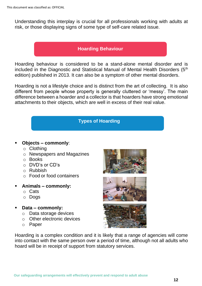Understanding this interplay is crucial for all professionals working with adults at risk, or those displaying signs of some type of self-care related issue.

#### **Hoarding Behaviour**

Hoarding behaviour is considered to be a stand-alone mental disorder and is included in the Diagnostic and Statistical Manual of Mental Health Disorders (5<sup>th</sup> edition) published in 2013. It can also be a symptom of other mental disorders.

Hoarding is not a lifestyle choice and is distinct from the art of collecting. It is also different from people whose property is generally cluttered or 'messy'. The main difference between a hoarder and a collector is that hoarders have strong emotional attachments to their objects, which are well in excess of their real value.

#### **Types of Hoarding**

#### ▪ **Objects – commonly**:

- o Clothing
- o Newspapers and Magazines
- o Books
- o DVD's or CD's
- o Rubbish
- o Food or food containers
- **Animals – commonly:**
	- o Cats
	- o Dogs
- **Data – commonly:** 
	- o Data storage devices
	- o Other electronic devices
	- o Paper







Hoarding is a complex condition and it is likely that a range of agencies will come into contact with the same person over a period of time, although not all adults who hoard will be in receipt of support from statutory services.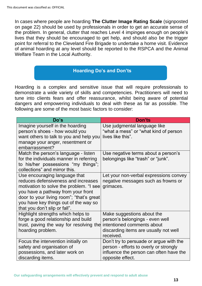In cases where people are hoarding **The Clutter Image Rating Scale** (signposted on page 22) should be used by professionals in order to get an accurate sense of the problem. In general, clutter that reaches Level 4 impinges enough on people's lives that they should be encouraged to get help, and should also be the trigger point for referral to the Cleveland Fire Brigade to undertake a home visit. Evidence of animal hoarding at any level should be reported to the RSPCA and the Animal Welfare Team in the Local Authority.

#### **Hoarding Do's and Don'ts**

Hoarding is a complex and sensitive issue that will require professionals to demonstrate a wide variety of skills and competencies. Practitioners will need to tune into clients fears and offer reassurance, whilst being aware of potential dangers and empowering individuals to deal with these as far as possible. The following are some of the most basic factors to consider:

| Do's                                                                                                                                                                                                                                                                        | <b>Don'ts</b>                                                                                                                                     |
|-----------------------------------------------------------------------------------------------------------------------------------------------------------------------------------------------------------------------------------------------------------------------------|---------------------------------------------------------------------------------------------------------------------------------------------------|
| Imagine yourself in the hoarding<br>person's shoes - how would you<br>want others to talk to you and help you<br>manage your anger, resentment or<br>embarrassment?                                                                                                         | Use judgmental language like<br>"what a mess" or "what kind of person<br>lives like this".                                                        |
| Match the person's language - listen<br>for the individuals manner in referring<br>to his/her possessions "my things";<br>collections" and mirror this.                                                                                                                     | Use negative terms about a person's<br>belongings like "trash" or "junk".                                                                         |
| Use encouraging language that<br>reduces defensiveness and increases<br>motivation to solve the problem. "I see<br>you have a pathway from your front<br>door to your living room"; "that's great<br>you have key things out of the way so<br>that you don't slip or fall". | Let your non-verbal expressions convey<br>negative messages such as frowns or<br>grimaces.                                                        |
| Highlight strengths which helps to<br>forge a good relationship and build<br>trust, paving the way for resolving the<br>hoarding problem.                                                                                                                                   | Make suggestions about the<br>person's belongings - even well<br>intentioned comments about<br>discarding items are usually not well<br>received. |
| Focus the intervention initially on<br>safety and organisation of<br>possessions, and later work on<br>discarding items.                                                                                                                                                    | Don't try to persuade or argue with the<br>person - efforts to overly or strongly<br>influence the person can often have the<br>opposite effect.  |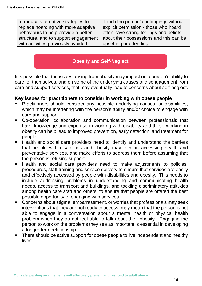Introduce alternative strategies to replace hoarding with more adaptive behaviours to help provide a better structure, and to support engagement with activities previously avoided. Touch the person's belongings without explicit permission - those who hoard often have strong feelings and beliefs about their possessions and this can be upsetting or offending.

#### **Obesity and Self-Neglect**

It is possible that the issues arising from obesity may impact on a person's ability to care for themselves, and on some of the underlying causes of disengagement from care and support services, that may eventually lead to concerns about self-neglect.

#### **Key issues for practitioners to consider in working with obese people**

- Practitioners should consider any possible underlying causes, or disabilities, which may be interfering with the person's ability and/or choice to engage with care and support.
- Co-operation, collaboration and communication between professionals that have knowledge and expertise in working with disability and those working in obesity can help lead to improved prevention, early detection, and treatment for people.
- Health and social care providers need to identify and understand the barriers that people with disabilities and obesity may face in accessing health and preventative services, and make efforts to address them before assuming that the person is refusing support.
- Health and social care providers need to make adjustments to policies, procedures, staff training and service delivery to ensure that services are easily and effectively accessed by people with disabilities and obesity. This needs to include addressing problems in understanding and communicating health needs, access to transport and buildings, and tackling discriminatory attitudes among health care staff and others, to ensure that people are offered the best possible opportunity of engaging with services
- Concerns about stigma, embarrassment, or worries that professionals may seek interventions that they are not ready to access, may mean that the person is not able to engage in a conversation about a mental health or physical health problem when they do not feel able to talk about their obesity. Engaging the person to work on the problems they see as important is essential in developing a longer-term relationship.
- **EXTE:** There should be active support for obese people to live independent and healthy **lives**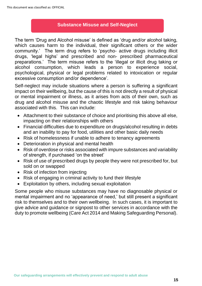#### **Substance Misuse and Self-Neglect**

The term 'Drug and Alcohol misuse' is defined as 'drug and/or alcohol taking, which causes harm to the individual, their significant others or the wider community.' The term drug refers to 'psycho- active drugs including illicit drugs, 'legal highs' and prescribed and non- prescribed pharmaceutical preparations.' The term misuse refers to the 'illegal or illicit drug taking or alcohol consumption, which leads a person to experience social, psychological, physical or legal problems related to intoxication or regular excessive consumption and/or dependence'.

Self-neglect may include situations where a person is suffering a significant impact on their wellbeing, but the cause of this is not directly a result of physical or mental impairment or illness, as it arises from acts of their own, such as drug and alcohol misuse and the chaotic lifestyle and risk taking behaviour associated with this. This can include:

- Attachment to their substance of choice and prioritising this above all else, impacting on their relationships with others
- Financial difficulties due to expenditure on drugs/alcohol resulting in debts and an inability to pay for food, utilities and other basic daily needs
- Risk of homelessness if unable to adhere to tenancy agreements
- Deterioration in physical and mental health
- Risk of overdose or risks associated with impure substances and variability of strength, if purchased 'on the street'
- Risk of use of prescribed drugs by people they were not prescribed for, but sold on or swapped
- Risk of infection from injecting
- Risk of engaging in criminal activity to fund their lifestyle
- Exploitation by others, including sexual exploitation

Some people who misuse substances may have no diagnosable physical or mental impairment and no 'appearance of need,' but still present a significant risk to themselves and to their own wellbeing. In such cases, it is important to give advice and guidance or signpost to other services in accordance with the duty to promote wellbeing (Care Act 2014 and Making Safeguarding Personal).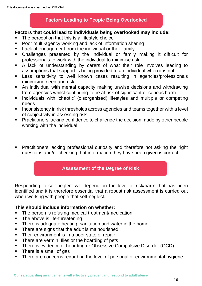#### **Factors Leading to People Being Overlooked**

#### **Factors that could lead to individuals being overlooked may include:**

- The perception that this is a 'lifestyle choice'
- Poor multi-agency working and lack of information sharing
- Lack of engagement from the individual or their family
- Challenges presented by the individual or family making it difficult for professionals to work with the individual to minimise risk
- A lack of understanding by carers of what their role involves leading to assumptions that support is being provided to an individual when it is not
- **EXELLESS** sensitivity to well known cases resulting in agencies/professionals minimising need and risk
- An individual with mental capacity making unwise decisions and withdrawing from agencies whilst continuing to be at risk of significant or serious harm
- **EXEDENT Individuals with 'chaotic' (disorganised) lifestyles and multiple or competing** needs
- Inconsistency in risk thresholds across agencies and teams together with a level of subjectivity in assessing risk
- Practitioners lacking confidence to challenge the decision made by other people working with the individual
- **•** Practitioners lacking professional curiosity and therefore not asking the right questions and/or checking that information they have been given is correct.

#### **Assessment of the Degree of Risk**

Responding to self-neglect will depend on the level of risk/harm that has been identified and it is therefore essential that a robust risk assessment is carried out when working with people that self-neglect.

#### **This should include information on whether:**

- The person is refusing medical treatment/medication
- **•** The above is life-threatening
- **•** There is adequate heating, sanitation and water in the home
- There are signs that the adult is malnourished
- **•** Their environment is in a poor state of repair
- **•** There are vermin, flies or the hoarding of pets
- There is evidence of hoarding or Obsessive Compulsive Disorder (OCD)
- There is a smell of gas
- There are concerns regarding the level of personal or environmental hygiene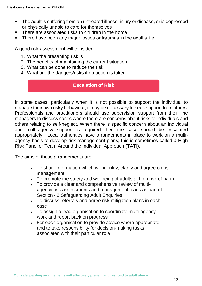- The adult is suffering from an untreated illness, injury or disease, or is depressed or physically unable to care for themselves
- There are associated risks to children in the home
- **EXTE:** There have been any major losses or traumas in the adult's life.

A good risk assessment will consider:

- 1. What the presenting risk is
- 2. The benefits of maintaining the current situation
- 3. What can be done to reduce the risk
- 4. What are the dangers/risks if no action is taken

#### **Escalation of Risk**

In some cases, particularly when it is not possible to support the individual to manage their own risky behaviour, it may be necessary to seek support from others. Professionals and practitioners should use supervision support from their line managers to discuss cases where there are concerns about risks to individuals and others relating to self-neglect. When there is specific concern about an individual and multi-agency support is required then the case should be escalated appropriately. Local authorities have arrangements in place to work on a multiagency basis to develop risk management plans; this is sometimes called a High Risk Panel or Team Around the Individual Approach (TATI).

The aims of these arrangements are:

- To share information which will identify, clarify and agree on risk management
- To promote the safety and wellbeing of adults at high risk of harm
- To provide a clear and comprehensive review of multiagency risk assessments and management plans as part of Section 42 Safeguarding Adult Enquiries
- To discuss referrals and agree risk mitigation plans in each case
- To assign a lead organisation to coordinate multi-agency work and report back on progress
- For each organisation to provide advice where appropriate and to take responsibility for decision-making tasks associated with their particular role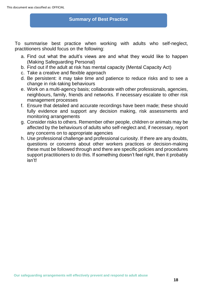#### **Summary of Best Practice**

To summarise best practice when working with adults who self-neglect, practitioners should focus on the following:

- a. Find out what the adult's views are and what they would like to happen (Making Safeguarding Personal)
- b. Find out if the adult at risk has mental capacity (Mental Capacity Act)
- c. Take a creative and flexible approach
- d. Be persistent: it may take time and patience to reduce risks and to see a change in risk-taking behaviours
- e. Work on a multi-agency basis; collaborate with other professionals, agencies, neighbours, family, friends and networks. If necessary escalate to other risk management processes
- f. Ensure that detailed and accurate recordings have been made; these should fully evidence and support any decision making, risk assessments and monitoring arrangements
- g. Consider risks to others. Remember other people, children or animals may be affected by the behaviours of adults who self-neglect and, if necessary, report any concerns on to appropriate agencies
- h. Use professional challenge and professional curiosity. If there are any doubts, questions or concerns about other workers practices or decision-making these must be followed through and there are specific policies and procedures support practitioners to do this. If something doesn't feel right, then it probably isn't!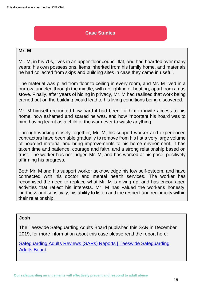#### **Case Studies**

#### **Mr. M**

Mr. M, in his 70s, lives in an upper-floor council flat, and had hoarded over many years: his own possessions, items inherited from his family home, and materials he had collected from skips and building sites in case they came in useful.

The material was piled from floor to ceiling in every room, and Mr. M lived in a burrow tunneled through the middle, with no lighting or heating, apart from a gas stove. Finally, after years of hiding in privacy, Mr. M had realised that work being carried out on the building would lead to his living conditions being discovered.

Mr. M himself recounted how hard it had been for him to invite access to his home, how ashamed and scared he was, and how important his hoard was to him, having learnt as a child of the war never to waste anything.

Through working closely together, Mr. M, his support worker and experienced contractors have been able gradually to remove from his flat a very large volume of hoarded material and bring improvements to his home environment. It has taken time and patience, courage and faith, and a strong relationship based on trust. The worker has not judged Mr. M, and has worked at his pace, positively affirming his progress.

Both Mr. M and his support worker acknowledge his low self-esteem, and have connected with his doctor and mental health services. The worker has recognised the need to replace what Mr. M is giving up, and has encouraged activities that reflect his interests. Mr. M has valued the worker's honesty, kindness and sensitivity, his ability to listen and the respect and reciprocity within their relationship.

#### **Josh**

The Teeswide Safeguarding Adults Board published this SAR in December 2019, for more information about this case please read the report here:

[Safeguarding Adults Reviews \(SARs\) Reports | Teeswide Safeguarding](https://www.tsab.org.uk/professionals/safeguarding-adult-review-sar-reports/)  [Adults Board](https://www.tsab.org.uk/professionals/safeguarding-adult-review-sar-reports/)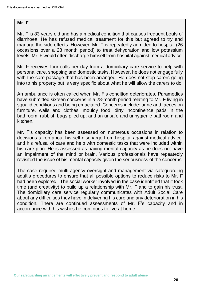#### **Mr. F**

Mr. F is 83 years old and has a medical condition that causes frequent bouts of diarrhoea. He has refused medical treatment for this but agreed to try and manage the side effects. However, Mr. F is repeatedly admitted to hospital (26 occasions over a 28 month period) to treat dehydration and low potassium levels. Mr. F would often discharge himself from hospital against medical advice.

Mr. F receives four calls per day from a domiciliary care service to help with personal care, shopping and domestic tasks. However, he does not engage fully with the care package that has been arranged. He does not stop carers going into to his property but is very specific about what he will allow the carers to do.

An ambulance is often called when Mr. F's condition deteriorates. Paramedics have submitted sixteen concerns in a 28-month period relating to Mr. F living in squalid conditions and being emaciated. Concerns include: urine and faeces on furniture, walls and clothes; mouldy food; dirty incontinence pads in the bathroom; rubbish bags piled up; and an unsafe and unhygienic bathroom and kitchen.

Mr. F's capacity has been assessed on numerous occasions in relation to decisions taken about his self-discharge from hospital against medical advice, and his refusal of care and help with domestic tasks that were included within his care plan. He is assessed as having mental capacity as he does not have an impairment of the mind or brain. Various professionals have repeatedly revisited the issue of his mental capacity given the seriousness of the concerns.

The case required multi-agency oversight and management via safeguarding adult's procedures to ensure that all possible options to reduce risks to Mr. F had been explored. The social worker involved in the case identified that it took time (and creativity) to build up a relationship with Mr. F and to gain his trust. The domiciliary care service regularly communicates with Adult Social Care about any difficulties they have in delivering his care and any deterioration in his condition. There are continued assessments of Mr. F's capacity and in accordance with his wishes he continues to live at home.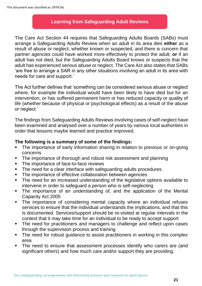#### **Learning from Safeguarding Adult Reviews**

The Care Act Section 44 requires that Safeguarding Adults Boards (SABs) must arrange a Safeguarding Adults Review when an adult in its area dies **either** as a result of abuse or neglect, whether known or suspected, and there is concern that partner agencies could have worked more effectively to protect the adult; **or** if an adult has not died, but the Safeguarding Adults Board knows or suspects that the adult has experienced serious abuse or neglect. The Care Act also states that SABs 'are free to arrange a SAR in any other situations involving an adult in its area with needs for care and support.'

The Act further defines that 'something can be considered serious abuse or neglect where, for example the individual would have been likely to have died but for an intervention, or has suffered permanent harm or has reduced capacity or quality of life (whether because of physical or psychological effects) as a result of the abuse or neglect.'

The findings from Safeguarding Adults Reviews involving cases of self-neglect have been examined and analysed over a number of years by various local authorities in order that lessons maybe learned and practice improved.

#### **The following is a summary of some of the findings:**

- The importance of early information sharing in relation to previous or on-going concerns
- The importance of thorough and robust risk assessment and planning
- The importance of face-to-face reviews
- The need for a clear interface with safeguarding adults procedures
- The importance of effective collaboration between agencies
- The need for an increased understanding of the legislative options available to intervene in order to safeguard a person who is self-neglecting
- The importance of an understanding of, and the application of the Mental Capacity Act 2005
- **•** The importance of considering mental capacity where an individual refuses services to ensure that the individual understands the implications, and that this is documented. Services/support should be re-visited at regular intervals in the context that it may take time for an individual to be ready to accept support
- **•** The need for practitioners and managers to challenge and reflect upon cases through the supervision process and training
- **•** The need for robust guidance to assist practitioners in working in this complex area
- **.** The need to ensure that assessment processes identify who carers are (and significant others) and how much care and/or support they are providing.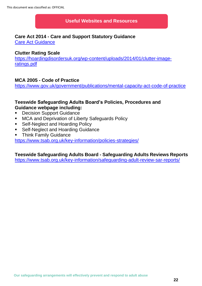#### **Useful Websites and Resources**

#### **Care Act 2014 - Care and Support Statutory Guidance**

[Care Act Guidance](https://www.gov.uk/government/publications/care-act-statutory-guidance/care-and-support-statutory-guidance)

#### **Clutter Rating Scale**

[https://hoardingdisordersuk.org/wp-content/uploads/2014/01/clutter-image](https://hoardingdisordersuk.org/wp-content/uploads/2014/01/clutter-image-ratings.pdf)[ratings.pdf](https://hoardingdisordersuk.org/wp-content/uploads/2014/01/clutter-image-ratings.pdf)

#### **MCA 2005 - Code of Practice**

<https://www.gov.uk/government/publications/mental-capacity-act-code-of-practice>

#### **Teeswide Safeguarding Adults Board's Policies, Procedures and Guidance webpage including:**

- Decision Support Guidance
- MCA and Deprivation of Liberty Safeguards Policy
- Self-Neglect and Hoarding Policy
- Self-Neglect and Hoarding Guidance
- **Think Family Guidance**

<https://www.tsab.org.uk/key-information/policies-strategies/>

#### **Teeswide Safeguarding Adults Board - Safeguarding Adults Reviews Reports**

<https://www.tsab.org.uk/key-information/safeguarding-adult-review-sar-reports/>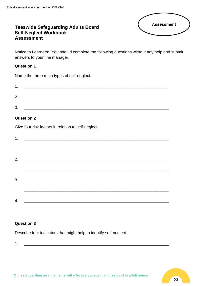# **Assessment**

#### **Teeswide Safeguarding Adults Board** Self-Neglect Workbook **Assessment**

Notice to Learners: You should complete the following questions without any help and submit answers to your line manager.

#### **Question 1**

Name the three main types of self-neglect.

| л             |  |  |
|---------------|--|--|
|               |  |  |
| 2<br><u>,</u> |  |  |
|               |  |  |
| າ             |  |  |
| ີ             |  |  |

#### **Question 2**

Give four risk factors in relation to self-neglect.

| 1. |  |  |  |
|----|--|--|--|
|    |  |  |  |
|    |  |  |  |
| 2. |  |  |  |
|    |  |  |  |
| 3. |  |  |  |
|    |  |  |  |
|    |  |  |  |
| 4. |  |  |  |
|    |  |  |  |

#### **Question 3**

Describe four indicators that might help to identify self-neglect.

 $1.$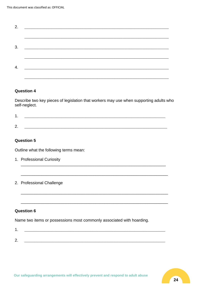| 2. |                                                                                                                       |  |  |
|----|-----------------------------------------------------------------------------------------------------------------------|--|--|
|    |                                                                                                                       |  |  |
|    |                                                                                                                       |  |  |
| 3. | <u> 2002 - Jan James James James James James James James James James James James James James James James James Ja</u> |  |  |
|    |                                                                                                                       |  |  |
| 4. | <u> 2008 - Johann Barbara, martin da kasas da kasas da kasas da kasas da kasas da kasas da kasas da kasas da kasa</u> |  |  |
|    |                                                                                                                       |  |  |
|    |                                                                                                                       |  |  |

#### **Question 4**

Describe two key pieces of legislation that workers may use when supporting adults who self-neglect.

|        |  | the control of the control of the control of the control of the control of the control of the control of the control of the control of the control of the control of the control of the control of the control of the control | the control of the control of the control of the control of the control of the control of the control of the control of the control of the control of the control of the control of the control of the control of the control |
|--------|--|-------------------------------------------------------------------------------------------------------------------------------------------------------------------------------------------------------------------------------|-------------------------------------------------------------------------------------------------------------------------------------------------------------------------------------------------------------------------------|
|        |  |                                                                                                                                                                                                                               |                                                                                                                                                                                                                               |
| -<br>- |  |                                                                                                                                                                                                                               |                                                                                                                                                                                                                               |

#### **Question 5**

Outline what the following terms mean:

- 1. Professional Curiosity
- 2. Professional Challenge

#### **Question 6**

Name two items or possessions most commonly associated with hoarding.

| ⌒<br><u>.</u> |  |
|---------------|--|
|               |  |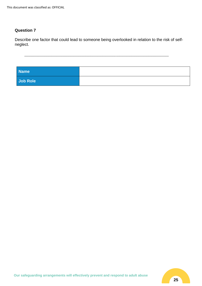#### **Question 7**

Describe one factor that could lead to someone being overlooked in relation to the risk of selfneglect.

 $\_$  , and the set of the set of the set of the set of the set of the set of the set of the set of the set of the set of the set of the set of the set of the set of the set of the set of the set of the set of the set of th

| <b>Name</b> |  |
|-------------|--|
| Job Role    |  |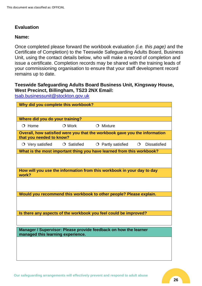#### **Evaluation**

#### **Name:**

Once completed please forward the workbook evaluation *(i.e. this page)* and the Certificate of Completion) to the Teeswide Safeguarding Adults Board, Business Unit, using the contact details below, who will make a record of completion and issue a certificate. Completion records may be shared with the training leads of your commissioning organisation to ensure that your staff development record remains up to date.

#### **Teeswide Safeguarding Adults Board Business Unit, Kingsway House, West Precinct, Billingham, TS23 2NX Email:**

[tsab.businessunit@stockton.gov.uk](mailto:tsab.businessunit@stockton.gov.uk)

| Why did you complete this workbook? |                   |                                                                            |         |                     |
|-------------------------------------|-------------------|----------------------------------------------------------------------------|---------|---------------------|
|                                     |                   |                                                                            |         |                     |
| Where did you do your training?     |                   |                                                                            |         |                     |
| $O$ Home                            | $\bigcirc$ Work   | $O$ Mixture                                                                |         |                     |
| that you needed to know?            |                   | Overall, how satisfied were you that the workbook gave you the information |         |                     |
| $\circ$ Very satisfied              | $\circ$ Satisfied | $O$ Partly satisfied                                                       | $\circ$ | <b>Dissatisfied</b> |
|                                     |                   | What is the most important thing you have learned from this workbook?      |         |                     |
|                                     |                   |                                                                            |         |                     |
| work?                               |                   | How will you use the information from this workbook in your day to day     |         |                     |
|                                     |                   |                                                                            |         |                     |
|                                     |                   | Would you recommend this workbook to other people? Please explain.         |         |                     |
|                                     |                   |                                                                            |         |                     |
|                                     |                   | Is there any aspects of the workbook you feel could be improved?           |         |                     |
|                                     |                   |                                                                            |         |                     |
| managed this learning experience.   |                   | Manager / Supervisor: Please provide feedback on how the learner           |         |                     |
|                                     |                   |                                                                            |         |                     |
|                                     |                   |                                                                            |         |                     |
|                                     |                   |                                                                            |         |                     |